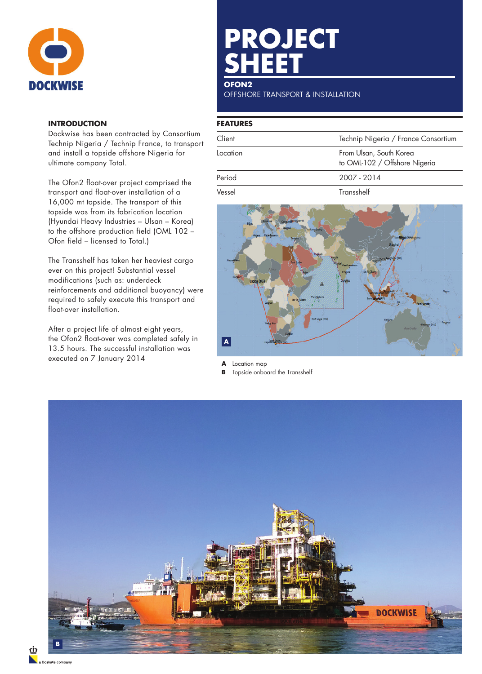

## **INTRODUCTION**

Dockwise has been contracted by Consortium Technip Nigeria / Technip France, to transport and install a topside offshore Nigeria for ultimate company Total.

The Ofon2 float-over project comprised the transport and float-over installation of a 16,000 mt topside. The transport of this **Netwas. Netwas** topside was from its fabrication location (Hyundai Heavy Industries – Ulsan – Korea) to the offshore production field (OML 102 – Ofon field – licensed to Total.)

The Transshelf has taken her heaviest cargo ever on this project! Substantial vessel modifications (such as: underdeck reinforcements and additional buoyancy) were required to safely execute this transport and float-over installation.

After a project life of almost eight years, the Ofon2 float-over was completed safely in 13.5 hours. The successful installation was executed on 7 January 2014

# **PROJECT SHEET**

# **OFON2**

OFFSHORE TRANSPORT & INSTALLATION

#### **FEATURES**

| Client   | Technip Nigeria / France Consortium                      |
|----------|----------------------------------------------------------|
| Location | From Ulsan, South Korea<br>to OML-102 / Offshore Nigeria |
| Period   | 2007 - 2014                                              |
| Vessel   | Transshelf                                               |



**A** Location map

**B** Topside onboard the Transshelf



riz